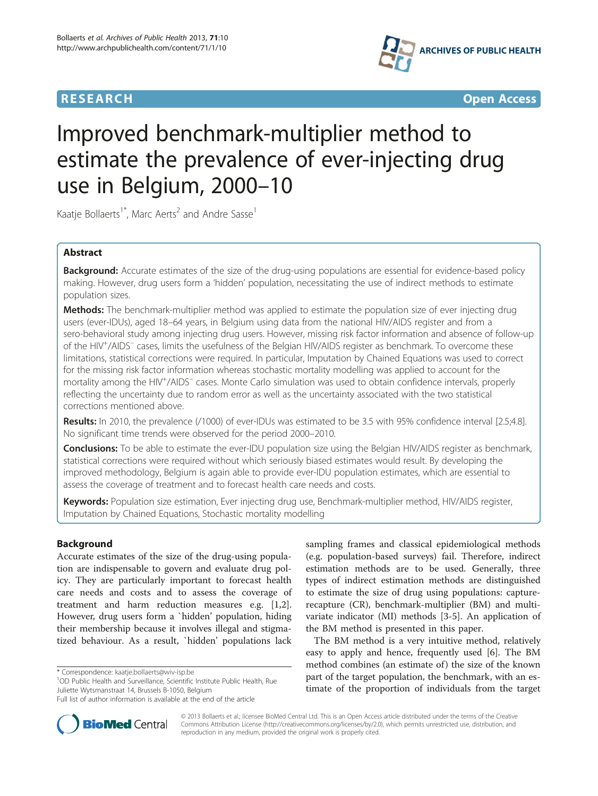



# Improved benchmark-multiplier method to estimate the prevalence of ever-injecting drug use in Belgium, 2000–10

Kaatje Bollaerts<sup>1\*</sup>, Marc Aerts<sup>2</sup> and Andre Sasse<sup>1</sup>

# Abstract

Background: Accurate estimates of the size of the drug-using populations are essential for evidence-based policy making. However, drug users form a 'hidden' population, necessitating the use of indirect methods to estimate population sizes.

Methods: The benchmark-multiplier method was applied to estimate the population size of ever injecting drug users (ever-IDUs), aged 18–64 years, in Belgium using data from the national HIV/AIDS register and from a sero-behavioral study among injecting drug users. However, missing risk factor information and absence of follow-up of the HIV<sup>+</sup>/AIDS<sup>-</sup> cases, limits the usefulness of the Belgian HIV/AIDS register as benchmark. To overcome these limitations, statistical corrections were required. In particular, Imputation by Chained Equations was used to correct for the missing risk factor information whereas stochastic mortality modelling was applied to account for the mortality among the HIV<sup>+</sup>/AIDS<sup>-</sup> cases. Monte Carlo simulation was used to obtain confidence intervals, properly reflecting the uncertainty due to random error as well as the uncertainty associated with the two statistical corrections mentioned above.

Results: In 2010, the prevalence (/1000) of ever-IDUs was estimated to be 3.5 with 95% confidence interval [2.5;4.8]. No significant time trends were observed for the period 2000–2010.

**Conclusions:** To be able to estimate the ever-IDU population size using the Belgian HIV/AIDS register as benchmark, statistical corrections were required without which seriously biased estimates would result. By developing the improved methodology, Belgium is again able to provide ever-IDU population estimates, which are essential to assess the coverage of treatment and to forecast health care needs and costs.

Keywords: Population size estimation, Ever injecting drug use, Benchmark-multiplier method, HIV/AIDS register, Imputation by Chained Equations, Stochastic mortality modelling

# Background

Accurate estimates of the size of the drug-using population are indispensable to govern and evaluate drug policy. They are particularly important to forecast health care needs and costs and to assess the coverage of treatment and harm reduction measures e.g. [\[1,2](#page-5-0)]. However, drug users form a `hidden' population, hiding their membership because it involves illegal and stigmatized behaviour. As a result, `hidden' populations lack

<sup>1</sup>OD Public Health and Surveillance, Scientific Institute Public Health, Rue Juliette Wytsmanstraat 14, Brussels B-1050, Belgium

sampling frames and classical epidemiological methods (e.g. population-based surveys) fail. Therefore, indirect estimation methods are to be used. Generally, three types of indirect estimation methods are distinguished to estimate the size of drug using populations: capturerecapture (CR), benchmark-multiplier (BM) and multivariate indicator (MI) methods [\[3-5](#page-5-0)]. An application of the BM method is presented in this paper.

The BM method is a very intuitive method, relatively easy to apply and hence, frequently used [\[6](#page-5-0)]. The BM method combines (an estimate of) the size of the known part of the target population, the benchmark, with an estimate of the proportion of individuals from the target



© 2013 Bollaerts et al.; licensee BioMed Central Ltd. This is an Open Access article distributed under the terms of the Creative Commons Attribution License [\(http://creativecommons.org/licenses/by/2.0\)](http://creativecommons.org/licenses/by/2.0), which permits unrestricted use, distribution, and reproduction in any medium, provided the original work is properly cited.

<sup>\*</sup> Correspondence: [kaatje.bollaerts@wiv-isp.be](mailto:kaatje.bollaerts@wiv-isp.be) <sup>1</sup>

Full list of author information is available at the end of the article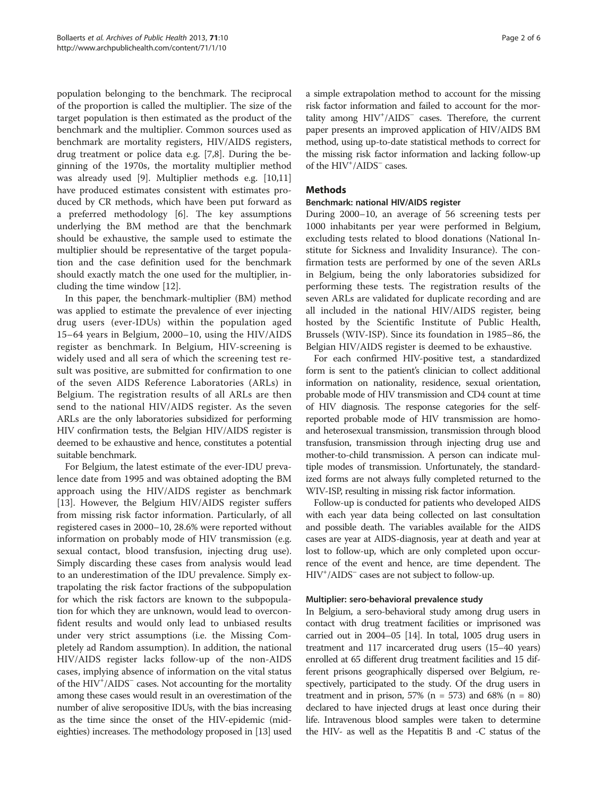population belonging to the benchmark. The reciprocal of the proportion is called the multiplier. The size of the target population is then estimated as the product of the benchmark and the multiplier. Common sources used as benchmark are mortality registers, HIV/AIDS registers, drug treatment or police data e.g. [\[7,8](#page-5-0)]. During the beginning of the 1970s, the mortality multiplier method was already used [[9\]](#page-5-0). Multiplier methods e.g. [[10](#page-5-0),[11](#page-5-0)] have produced estimates consistent with estimates produced by CR methods, which have been put forward as a preferred methodology [\[6](#page-5-0)]. The key assumptions underlying the BM method are that the benchmark should be exhaustive, the sample used to estimate the multiplier should be representative of the target population and the case definition used for the benchmark should exactly match the one used for the multiplier, including the time window [[12\]](#page-5-0).

In this paper, the benchmark-multiplier (BM) method was applied to estimate the prevalence of ever injecting drug users (ever-IDUs) within the population aged 15–64 years in Belgium, 2000–10, using the HIV/AIDS register as benchmark. In Belgium, HIV-screening is widely used and all sera of which the screening test result was positive, are submitted for confirmation to one of the seven AIDS Reference Laboratories (ARLs) in Belgium. The registration results of all ARLs are then send to the national HIV/AIDS register. As the seven ARLs are the only laboratories subsidized for performing HIV confirmation tests, the Belgian HIV/AIDS register is deemed to be exhaustive and hence, constitutes a potential suitable benchmark.

For Belgium, the latest estimate of the ever-IDU prevalence date from 1995 and was obtained adopting the BM approach using the HIV/AIDS register as benchmark [[13\]](#page-5-0). However, the Belgium HIV/AIDS register suffers from missing risk factor information. Particularly, of all registered cases in 2000–10, 28.6% were reported without information on probably mode of HIV transmission (e.g. sexual contact, blood transfusion, injecting drug use). Simply discarding these cases from analysis would lead to an underestimation of the IDU prevalence. Simply extrapolating the risk factor fractions of the subpopulation for which the risk factors are known to the subpopulation for which they are unknown, would lead to overconfident results and would only lead to unbiased results under very strict assumptions (i.e. the Missing Completely ad Random assumption). In addition, the national HIV/AIDS register lacks follow-up of the non-AIDS cases, implying absence of information on the vital status of the HIV<sup>+</sup>/AIDS<sup>-</sup> cases. Not accounting for the mortality among these cases would result in an overestimation of the number of alive seropositive IDUs, with the bias increasing as the time since the onset of the HIV-epidemic (mideighties) increases. The methodology proposed in [\[13\]](#page-5-0) used a simple extrapolation method to account for the missing risk factor information and failed to account for the mortality among HIV<sup>+</sup>/AIDS<sup>-</sup> cases. Therefore, the current paper presents an improved application of HIV/AIDS BM method, using up-to-date statistical methods to correct for the missing risk factor information and lacking follow-up of the HIV<sup>+</sup>/AIDS<sup>-</sup> cases.

# **Methods**

# Benchmark: national HIV/AIDS register

During 2000–10, an average of 56 screening tests per 1000 inhabitants per year were performed in Belgium, excluding tests related to blood donations (National Institute for Sickness and Invalidity Insurance). The confirmation tests are performed by one of the seven ARLs in Belgium, being the only laboratories subsidized for performing these tests. The registration results of the seven ARLs are validated for duplicate recording and are all included in the national HIV/AIDS register, being hosted by the Scientific Institute of Public Health, Brussels (WIV-ISP). Since its foundation in 1985–86, the Belgian HIV/AIDS register is deemed to be exhaustive.

For each confirmed HIV-positive test, a standardized form is sent to the patient's clinician to collect additional information on nationality, residence, sexual orientation, probable mode of HIV transmission and CD4 count at time of HIV diagnosis. The response categories for the selfreported probable mode of HIV transmission are homoand heterosexual transmission, transmission through blood transfusion, transmission through injecting drug use and mother-to-child transmission. A person can indicate multiple modes of transmission. Unfortunately, the standardized forms are not always fully completed returned to the WIV-ISP, resulting in missing risk factor information.

Follow-up is conducted for patients who developed AIDS with each year data being collected on last consultation and possible death. The variables available for the AIDS cases are year at AIDS-diagnosis, year at death and year at lost to follow-up, which are only completed upon occurrence of the event and hence, are time dependent. The HIV+ /AIDS– cases are not subject to follow-up.

## Multiplier: sero-behavioral prevalence study

In Belgium, a sero-behavioral study among drug users in contact with drug treatment facilities or imprisoned was carried out in 2004–05 [\[14\]](#page-5-0). In total, 1005 drug users in treatment and 117 incarcerated drug users (15–40 years) enrolled at 65 different drug treatment facilities and 15 different prisons geographically dispersed over Belgium, respectively, participated to the study. Of the drug users in treatment and in prison, 57% ( $n = 573$ ) and 68% ( $n = 80$ ) declared to have injected drugs at least once during their life. Intravenous blood samples were taken to determine the HIV- as well as the Hepatitis B and -C status of the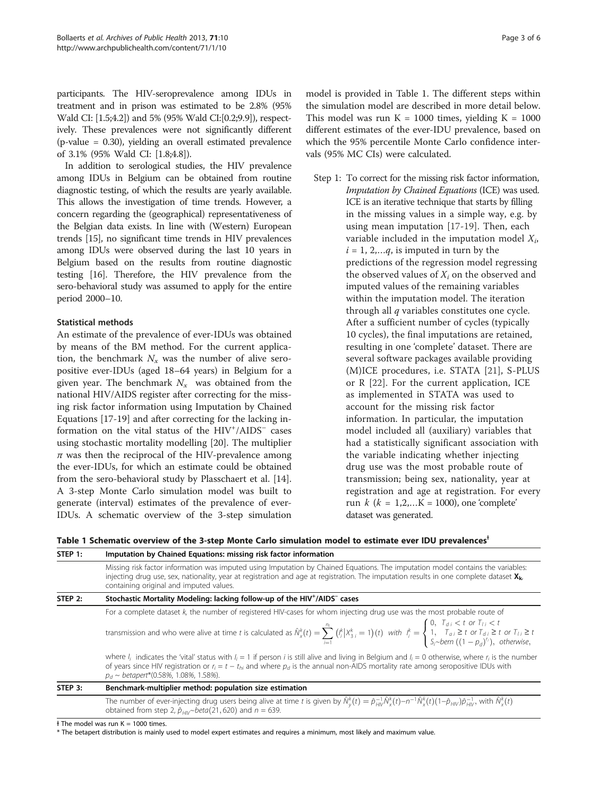participants. The HIV-seroprevalence among IDUs in treatment and in prison was estimated to be 2.8% (95% Wald CI: [1.5;4.2]) and 5% (95% Wald CI:[0.2;9.9]), respectively. These prevalences were not significantly different (p-value = 0.30), yielding an overall estimated prevalence of 3.1% (95% Wald CI: [1.8;4.8]).

In addition to serological studies, the HIV prevalence among IDUs in Belgium can be obtained from routine diagnostic testing, of which the results are yearly available. This allows the investigation of time trends. However, a concern regarding the (geographical) representativeness of the Belgian data exists. In line with (Western) European trends [\[15\]](#page-5-0), no significant time trends in HIV prevalences among IDUs were observed during the last 10 years in Belgium based on the results from routine diagnostic testing [\[16\]](#page-5-0). Therefore, the HIV prevalence from the sero-behavioral study was assumed to apply for the entire period 2000–10.

# Statistical methods

An estimate of the prevalence of ever-IDUs was obtained by means of the BM method. For the current application, the benchmark  $N_x$  was the number of alive seropositive ever-IDUs (aged 18–64 years) in Belgium for a given year. The benchmark  $N_x$  was obtained from the national HIV/AIDS register after correcting for the missing risk factor information using Imputation by Chained Equations [\[17](#page-5-0)-[19\]](#page-5-0) and after correcting for the lacking information on the vital status of the HIV<sup>+</sup>/AIDS<sup>-</sup> cases using stochastic mortality modelling [[20](#page-5-0)]. The multiplier  $\pi$  was then the reciprocal of the HIV-prevalence among the ever-IDUs, for which an estimate could be obtained from the sero-behavioral study by Plasschaert et al. [\[14](#page-5-0)]. A 3-step Monte Carlo simulation model was built to generate (interval) estimates of the prevalence of ever-IDUs. A schematic overview of the 3-step simulation model is provided in Table 1. The different steps within the simulation model are described in more detail below. This model was run  $K = 1000$  times, yielding  $K = 1000$ different estimates of the ever-IDU prevalence, based on which the 95% percentile Monte Carlo confidence intervals (95% MC CIs) were calculated.

Step 1: To correct for the missing risk factor information, Imputation by Chained Equations (ICE) was used. ICE is an iterative technique that starts by filling in the missing values in a simple way, e.g. by using mean imputation [[17-19](#page-5-0)]. Then, each variable included in the imputation model  $X_i$ ,  $i = 1, 2, \ldots q$ , is imputed in turn by the predictions of the regression model regressing the observed values of  $X_i$  on the observed and imputed values of the remaining variables within the imputation model. The iteration through all  $q$  variables constitutes one cycle. After a sufficient number of cycles (typically 10 cycles), the final imputations are retained, resulting in one 'complete' dataset. There are several software packages available providing (M)ICE procedures, i.e. STATA [[21\]](#page-5-0), S-PLUS or R [[22\]](#page-5-0). For the current application, ICE as implemented in STATA was used to account for the missing risk factor information. In particular, the imputation model included all (auxiliary) variables that had a statistically significant association with the variable indicating whether injecting drug use was the most probable route of transmission; being sex, nationality, year at registration and age at registration. For every run  $k$  ( $k = 1, 2, ... K = 1000$ ), one 'complete' dataset was generated.

Table 1 Schematic overview of the 3-step Monte Carlo simulation model to estimate ever IDU prevalences<sup>t</sup>

| STEP 1: | Imputation by Chained Equations: missing risk factor information<br>Missing risk factor information was imputed using Imputation by Chained Equations. The imputation model contains the variables:<br>injecting drug use, sex, nationality, year at registration and age at registration. The imputation results in one complete dataset $X_k$ ,<br>containing original and imputed values.                                                                                                                                                                                                                                                                                                                                                                                                                                                  |  |  |  |  |  |
|---------|-----------------------------------------------------------------------------------------------------------------------------------------------------------------------------------------------------------------------------------------------------------------------------------------------------------------------------------------------------------------------------------------------------------------------------------------------------------------------------------------------------------------------------------------------------------------------------------------------------------------------------------------------------------------------------------------------------------------------------------------------------------------------------------------------------------------------------------------------|--|--|--|--|--|
|         |                                                                                                                                                                                                                                                                                                                                                                                                                                                                                                                                                                                                                                                                                                                                                                                                                                               |  |  |  |  |  |
| STEP 2: | Stochastic Mortality Modeling: lacking follow-up of the HIV <sup>+</sup> /AIDS <sup>-</sup> cases                                                                                                                                                                                                                                                                                                                                                                                                                                                                                                                                                                                                                                                                                                                                             |  |  |  |  |  |
|         | For a complete dataset k, the number of registered HIV-cases for whom injecting drug use was the most probable route of<br>transmission and who were alive at time t is calculated as $\hat{N}_x^k(t) = \sum_{i=1}^{n_t} (f_i^k X_{3,i}^k = 1)(t)$ with $I_i^k = \begin{cases} 0, & T_{d,i} < t \text{ or } T_{i,i} < t \\ 1, & T_{d,i} \ge t \text{ or } T_{d,i} \ge t \text{ or } T_{i,i} \ge t \\ S_i \sim \text{bern } ((1 - p_d)^{r_i}), \text{ otherwise,} \end{cases}$<br>where $l_i$ indicates the 'vital' status with $l_i = 1$ if person <i>i</i> is still alive and living in Belgium and $l_i = 0$ otherwise, where $r_i$ is the number<br>of years since HIV registration or $r_i = t - t_{hi}$ and where $p_d$ is the annual non-AIDS mortality rate among seropositive IDUs with<br>$p_d \sim$ betapert*(0.58%, 1.08%, 1.58%). |  |  |  |  |  |
| STEP 3: | Benchmark-multiplier method: population size estimation                                                                                                                                                                                                                                                                                                                                                                                                                                                                                                                                                                                                                                                                                                                                                                                       |  |  |  |  |  |
|         | The number of ever-injecting drug users being alive at time t is given by $\hat{N}_{v}^{k}(t) = \hat{P}_{H v}^{-1} \hat{N}_{x}^{k}(t) - n^{-1} \hat{N}_{x}^{k}(t) (1 - \hat{P}_{H v}) \hat{P}_{H v}^{-1}$ , with $\hat{N}_{x}^{k}(t)$<br>obtained from step 2, $\hat{p}_{HIV}$ ~beta(21,620) and $n = 639$ .                                                                                                                                                                                                                                                                                                                                                                                                                                                                                                                                  |  |  |  |  |  |
|         |                                                                                                                                                                                                                                                                                                                                                                                                                                                                                                                                                                                                                                                                                                                                                                                                                                               |  |  |  |  |  |

 $+$  The model was run K = 1000 times.

\* The betapert distribution is mainly used to model expert estimates and requires a minimum, most likely and maximum value.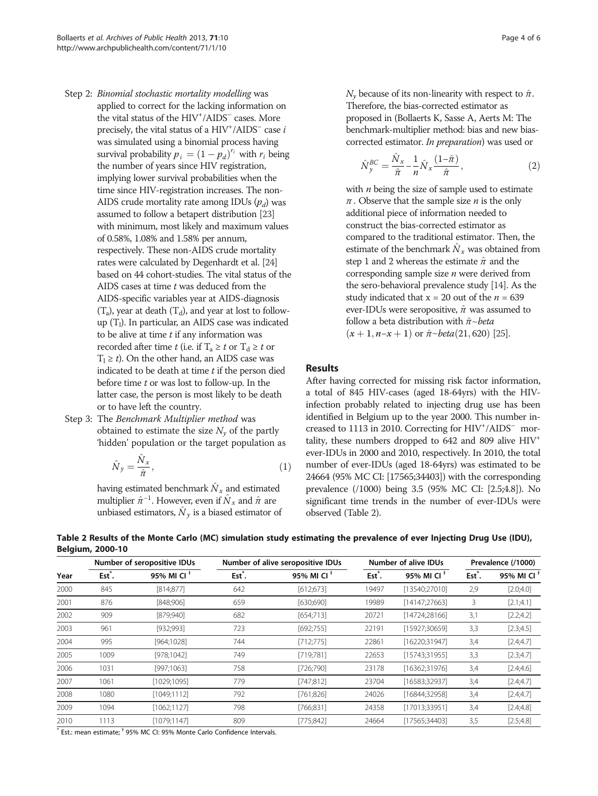- Step 2: Binomial stochastic mortality modelling was applied to correct for the lacking information on the vital status of the HIV<sup>+</sup>/AIDS<sup>-</sup> cases. More precisely, the vital status of a  $HIV^{+}/AIDS^{-}$  case i was simulated using a binomial process having survival probability  $p_i = (1 - p_d)^{r_i}$  with  $r_i$  being the number of years since HIV registration, implying lower survival probabilities when the time since HIV-registration increases. The non-AIDS crude mortality rate among IDUs  $(p_d)$  was assumed to follow a betapert distribution [\[23\]](#page-5-0) with minimum, most likely and maximum values of 0.58%, 1.08% and 1.58% per annum, respectively. These non-AIDS crude mortality rates were calculated by Degenhardt et al. [\[24](#page-5-0)] based on 44 cohort-studies. The vital status of the AIDS cases at time  $t$  was deduced from the AIDS-specific variables year at AIDS-diagnosis  $(T_a)$ , year at death  $(T_d)$ , and year at lost to follow $up(T<sub>1</sub>)$ . In particular, an AIDS case was indicated to be alive at time  $t$  if any information was recorded after time t (i.e. if  $T_a \geq t$  or  $T_d \geq t$  or  $T_1 \geq t$ ). On the other hand, an AIDS case was indicated to be death at time  $t$  if the person died before time  $t$  or was lost to follow-up. In the latter case, the person is most likely to be death or to have left the country.
- Step 3: The Benchmark Multiplier method was obtained to estimate the size  $N_{\nu}$  of the partly 'hidden' population or the target population as

$$
\hat{N}_y = \frac{\hat{N}_x}{\hat{\pi}},\tag{1}
$$

having estimated benchmark  $\hat{N}_x$  and estimated multiplier  $\hat{\pi}^{-1}$ . However, even if  $\hat{N}_x$  and  $\hat{\pi}$  are unbiased estimators,  $\hat{N}_y$  is a biased estimator of  $N_{\nu}$  because of its non-linearity with respect to  $\hat{\pi}$ . Therefore, the bias-corrected estimator as proposed in (Bollaerts K, Sasse A, Aerts M: The benchmark-multiplier method: bias and new biascorrected estimator. In preparation) was used or

$$
\hat{N}_y^{BC} = \frac{\hat{N}_x}{\hat{\pi}} - \frac{1}{n} \hat{N}_x \frac{(1-\hat{\pi})}{\hat{\pi}},\tag{2}
$$

with  $n$  being the size of sample used to estimate  $\pi$ . Observe that the sample size *n* is the only additional piece of information needed to construct the bias-corrected estimator as compared to the traditional estimator. Then, the estimate of the benchmark  $\hat{N}_x$  was obtained from step 1 and 2 whereas the estimate  $\hat{\pi}$  and the corresponding sample size  $n$  were derived from the sero-behavioral prevalence study [\[14](#page-5-0)]. As the study indicated that  $x = 20$  out of the  $n = 639$ ever-IDUs were seropositive,  $\hat{\pi}$  was assumed to follow a beta distribution with  $\hat{\pi}$ ~beta  $(x + 1, n-x + 1)$  or  $\hat{\pi}$ ~beta $(21, 620)$  [\[25](#page-5-0)].

## Results

After having corrected for missing risk factor information, a total of 845 HIV-cases (aged 18-64yrs) with the HIVinfection probably related to injecting drug use has been identified in Belgium up to the year 2000. This number increased to 1113 in 2010. Correcting for HIV<sup>+</sup>/AIDS<sup>-</sup> mortality, these numbers dropped to  $642$  and  $809$  alive  $HIV<sup>+</sup>$ ever-IDUs in 2000 and 2010, respectively. In 2010, the total number of ever-IDUs (aged 18-64yrs) was estimated to be 24664 (95% MC CI: [17565;34403]) with the corresponding prevalence (/1000) being 3.5 (95% MC CI: [2.5;4.8]). No significant time trends in the number of ever-IDUs were observed (Table 2).

Table 2 Results of the Monte Carlo (MC) simulation study estimating the prevalence of ever Injecting Drug Use (IDU), Belgium, 2000-10

| Year | Number of seropositive IDUs |                        | Number of alive seropositive IDUs |                        | Number of alive IDUs |                        | Prevalence (/1000) |                        |
|------|-----------------------------|------------------------|-----------------------------------|------------------------|----------------------|------------------------|--------------------|------------------------|
|      | Est <sup>"</sup> .          | 95% MI CI <sup>+</sup> | Est <sup>*</sup> .                | 95% MI CI <sup>+</sup> | Est <sup>*</sup> .   | 95% MI CI <sup>+</sup> | Est <sup>*</sup> . | 95% MI CI <sup>+</sup> |
| 2000 | 845                         | [814; 877]             | 642                               | [612; 673]             | 19497                | [13540;27010]          | 2,9                | [2.0;4.0]              |
| 2001 | 876                         | [848;906]              | 659                               | [630;690]              | 19989                | [14147;27663]          | 3                  | [2.1;4.1]              |
| 2002 | 909                         | [879;940]              | 682                               | [654;713]              | 20721                | [14724;28166]          | 3,1                | [2.2;4.2]              |
| 2003 | 961                         | [932;993]              | 723                               | [692;755]              | 22191                | [15927;30659]          | 3,3                | [2.3;4.5]              |
| 2004 | 995                         | [964;1028]             | 744                               | [712;775]              | 22861                | [16220;31947]          | 3,4                | [2.4; 4.7]             |
| 2005 | 1009                        | [978; 1042]            | 749                               | [719;781]              | 22653                | [15743;31955]          | 3,3                | [2.3;4.7]              |
| 2006 | 1031                        | [997;1063]             | 758                               | [726;790]              | 23178                | [16362;31976]          | 3,4                | [2.4;4.6]              |
| 2007 | 1061                        | [1029;1095]            | 779                               | [747;812]              | 23704                | [16583;32937]          | 3,4                | [2.4; 4.7]             |
| 2008 | 1080                        | [1049:1112]            | 792                               | [761;826]              | 24026                | [16844:32958]          | 3,4                | [2.4; 4.7]             |
| 2009 | 1094                        | [1062;1127]            | 798                               | [766;831]              | 24358                | [17013; 33951]         | 3,4                | [2.4;4.8]              |
| 2010 | 1113                        | [1079;1147]            | 809                               | [775; 842]             | 24664                | [17565;34403]          | 3,5                | [2.5;4.8]              |

\* Est.: mean estimate; <sup>Ɨ</sup> 95% MC CI: 95% Monte Carlo Confidence Intervals.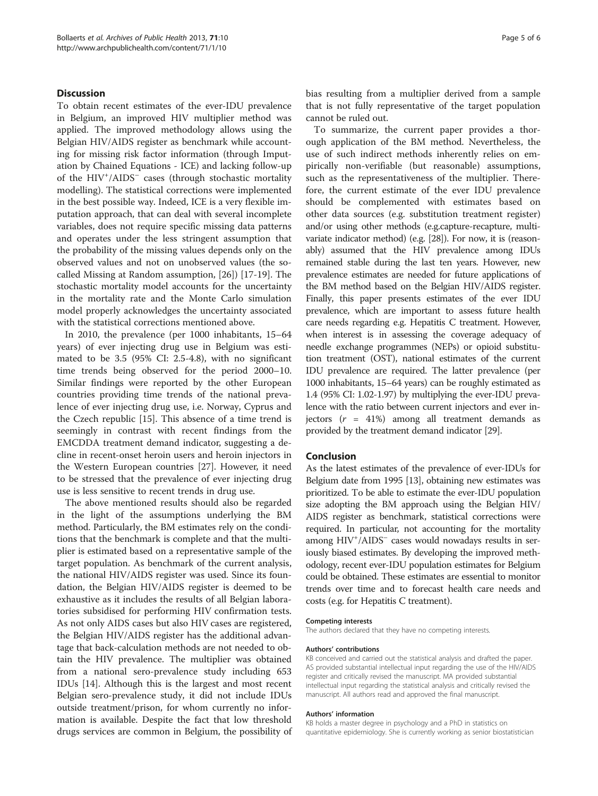## **Discussion**

To obtain recent estimates of the ever-IDU prevalence in Belgium, an improved HIV multiplier method was applied. The improved methodology allows using the Belgian HIV/AIDS register as benchmark while accounting for missing risk factor information (through Imputation by Chained Equations - ICE) and lacking follow-up of the HIV<sup>+</sup>/AIDS<sup>-</sup> cases (through stochastic mortality modelling). The statistical corrections were implemented in the best possible way. Indeed, ICE is a very flexible imputation approach, that can deal with several incomplete variables, does not require specific missing data patterns and operates under the less stringent assumption that the probability of the missing values depends only on the observed values and not on unobserved values (the socalled Missing at Random assumption, [[26\]](#page-5-0)) [[17-19](#page-5-0)]. The stochastic mortality model accounts for the uncertainty in the mortality rate and the Monte Carlo simulation model properly acknowledges the uncertainty associated with the statistical corrections mentioned above.

In 2010, the prevalence (per 1000 inhabitants, 15–64 years) of ever injecting drug use in Belgium was estimated to be 3.5 (95% CI: 2.5-4.8), with no significant time trends being observed for the period 2000–10. Similar findings were reported by the other European countries providing time trends of the national prevalence of ever injecting drug use, i.e. Norway, Cyprus and the Czech republic [[15\]](#page-5-0). This absence of a time trend is seemingly in contrast with recent findings from the EMCDDA treatment demand indicator, suggesting a decline in recent-onset heroin users and heroin injectors in the Western European countries [\[27](#page-5-0)]. However, it need to be stressed that the prevalence of ever injecting drug use is less sensitive to recent trends in drug use.

The above mentioned results should also be regarded in the light of the assumptions underlying the BM method. Particularly, the BM estimates rely on the conditions that the benchmark is complete and that the multiplier is estimated based on a representative sample of the target population. As benchmark of the current analysis, the national HIV/AIDS register was used. Since its foundation, the Belgian HIV/AIDS register is deemed to be exhaustive as it includes the results of all Belgian laboratories subsidised for performing HIV confirmation tests. As not only AIDS cases but also HIV cases are registered, the Belgian HIV/AIDS register has the additional advantage that back-calculation methods are not needed to obtain the HIV prevalence. The multiplier was obtained from a national sero-prevalence study including 653 IDUs [[14\]](#page-5-0). Although this is the largest and most recent Belgian sero-prevalence study, it did not include IDUs outside treatment/prison, for whom currently no information is available. Despite the fact that low threshold drugs services are common in Belgium, the possibility of

bias resulting from a multiplier derived from a sample that is not fully representative of the target population cannot be ruled out.

To summarize, the current paper provides a thorough application of the BM method. Nevertheless, the use of such indirect methods inherently relies on empirically non-verifiable (but reasonable) assumptions, such as the representativeness of the multiplier. Therefore, the current estimate of the ever IDU prevalence should be complemented with estimates based on other data sources (e.g. substitution treatment register) and/or using other methods (e.g.capture-recapture, multivariate indicator method) (e.g. [[28](#page-5-0)]). For now, it is (reasonably) assumed that the HIV prevalence among IDUs remained stable during the last ten years. However, new prevalence estimates are needed for future applications of the BM method based on the Belgian HIV/AIDS register. Finally, this paper presents estimates of the ever IDU prevalence, which are important to assess future health care needs regarding e.g. Hepatitis C treatment. However, when interest is in assessing the coverage adequacy of needle exchange programmes (NEPs) or opioid substitution treatment (OST), national estimates of the current IDU prevalence are required. The latter prevalence (per 1000 inhabitants, 15–64 years) can be roughly estimated as 1.4 (95% CI: 1.02-1.97) by multiplying the ever-IDU prevalence with the ratio between current injectors and ever injectors  $(r = 41\%)$  among all treatment demands as provided by the treatment demand indicator [[29](#page-5-0)].

### Conclusion

As the latest estimates of the prevalence of ever-IDUs for Belgium date from 1995 [\[13\]](#page-5-0), obtaining new estimates was prioritized. To be able to estimate the ever-IDU population size adopting the BM approach using the Belgian HIV/ AIDS register as benchmark, statistical corrections were required. In particular, not accounting for the mortality among HIV+ /AIDS– cases would nowadays results in seriously biased estimates. By developing the improved methodology, recent ever-IDU population estimates for Belgium could be obtained. These estimates are essential to monitor trends over time and to forecast health care needs and costs (e.g. for Hepatitis C treatment).

#### Competing interests

The authors declared that they have no competing interests.

#### Authors' contributions

KB conceived and carried out the statistical analysis and drafted the paper. AS provided substantial intellectual input regarding the use of the HIV/AIDS register and critically revised the manuscript. MA provided substantial intellectual input regarding the statistical analysis and critically revised the manuscript. All authors read and approved the final manuscript.

#### Authors' information

KB holds a master degree in psychology and a PhD in statistics on quantitative epidemiology. She is currently working as senior biostatistician